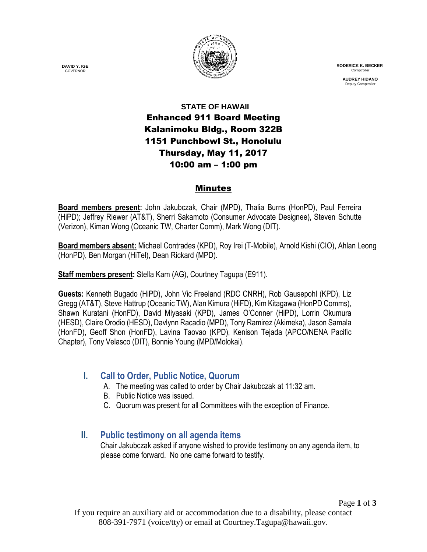

 **RODERICK K. BECKER** Comptrolle

> **AUDREY HIDANO** Deputy Comptrolle

## **STATE OF HAWAII** Enhanced 911 Board Meeting Kalanimoku Bldg., Room 322B 1151 Punchbowl St., Honolulu Thursday, May 11, 2017 10:00 am – 1:00 pm

#### Minutes

**Board members present:** John Jakubczak, Chair (MPD), Thalia Burns (HonPD), Paul Ferreira (HiPD); Jeffrey Riewer (AT&T), Sherri Sakamoto (Consumer Advocate Designee), Steven Schutte (Verizon), Kiman Wong (Oceanic TW, Charter Comm), Mark Wong (DIT).

**Board members absent:** Michael Contrades (KPD), Roy Irei (T-Mobile), Arnold Kishi (CIO), Ahlan Leong (HonPD), Ben Morgan (HiTel), Dean Rickard (MPD).

**Staff members present:** Stella Kam (AG), Courtney Tagupa (E911).

**Guests:** Kenneth Bugado (HiPD), John Vic Freeland (RDC CNRH), Rob Gausepohl (KPD), Liz Gregg (AT&T), Steve Hattrup (Oceanic TW), Alan Kimura (HiFD), Kim Kitagawa (HonPD Comms), Shawn Kuratani (HonFD), David Miyasaki (KPD), James O'Conner (HiPD), Lorrin Okumura (HESD), Claire Orodio (HESD), Davlynn Racadio (MPD), Tony Ramirez (Akimeka), Jason Samala (HonFD), Geoff Shon (HonFD), Lavina Taovao (KPD), Kenison Tejada (APCO/NENA Pacific Chapter), Tony Velasco (DIT), Bonnie Young (MPD/Molokai).

## **I. Call to Order, Public Notice, Quorum**

- A. The meeting was called to order by Chair Jakubczak at 11:32 am.
- B. Public Notice was issued.
- C. Quorum was present for all Committees with the exception of Finance.

## **II. Public testimony on all agenda items**

Chair Jakubczak asked if anyone wished to provide testimony on any agenda item, to please come forward. No one came forward to testify.

**DAVID Y. IGE** GOVERNOR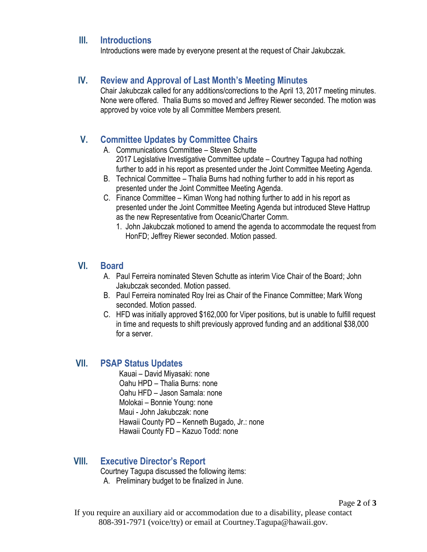#### **III. Introductions**

Introductions were made by everyone present at the request of Chair Jakubczak.

#### **IV. Review and Approval of Last Month's Meeting Minutes**

Chair Jakubczak called for any additions/corrections to the April 13, 2017 meeting minutes. None were offered. Thalia Burns so moved and Jeffrey Riewer seconded. The motion was approved by voice vote by all Committee Members present.

#### **V. Committee Updates by Committee Chairs**

- A. Communications Committee Steven Schutte 2017 Legislative Investigative Committee update – Courtney Tagupa had nothing further to add in his report as presented under the Joint Committee Meeting Agenda.
- B. Technical Committee Thalia Burns had nothing further to add in his report as presented under the Joint Committee Meeting Agenda.
- C. Finance Committee Kiman Wong had nothing further to add in his report as presented under the Joint Committee Meeting Agenda but introduced Steve Hattrup as the new Representative from Oceanic/Charter Comm.
	- 1. John Jakubczak motioned to amend the agenda to accommodate the request from HonFD; Jeffrey Riewer seconded. Motion passed.

#### **VI. Board**

- A. Paul Ferreira nominated Steven Schutte as interim Vice Chair of the Board; John Jakubczak seconded. Motion passed.
- B. Paul Ferreira nominated Roy Irei as Chair of the Finance Committee; Mark Wong seconded. Motion passed.
- C. HFD was initially approved \$162,000 for Viper positions, but is unable to fulfill request in time and requests to shift previously approved funding and an additional \$38,000 for a server.

#### **VII. PSAP Status Updates**

Kauai – David Miyasaki: none Oahu HPD – Thalia Burns: none Oahu HFD – Jason Samala: none Molokai – Bonnie Young: none Maui - John Jakubczak: none Hawaii County PD – Kenneth Bugado, Jr.: none Hawaii County FD – Kazuo Todd: none

#### **VIII. Executive Director's Report**

Courtney Tagupa discussed the following items:

A. Preliminary budget to be finalized in June.

Page **2** of **3**

If you require an auxiliary aid or accommodation due to a disability, please contact 808-391-7971 (voice/tty) or email at Courtney.Tagupa@hawaii.gov.